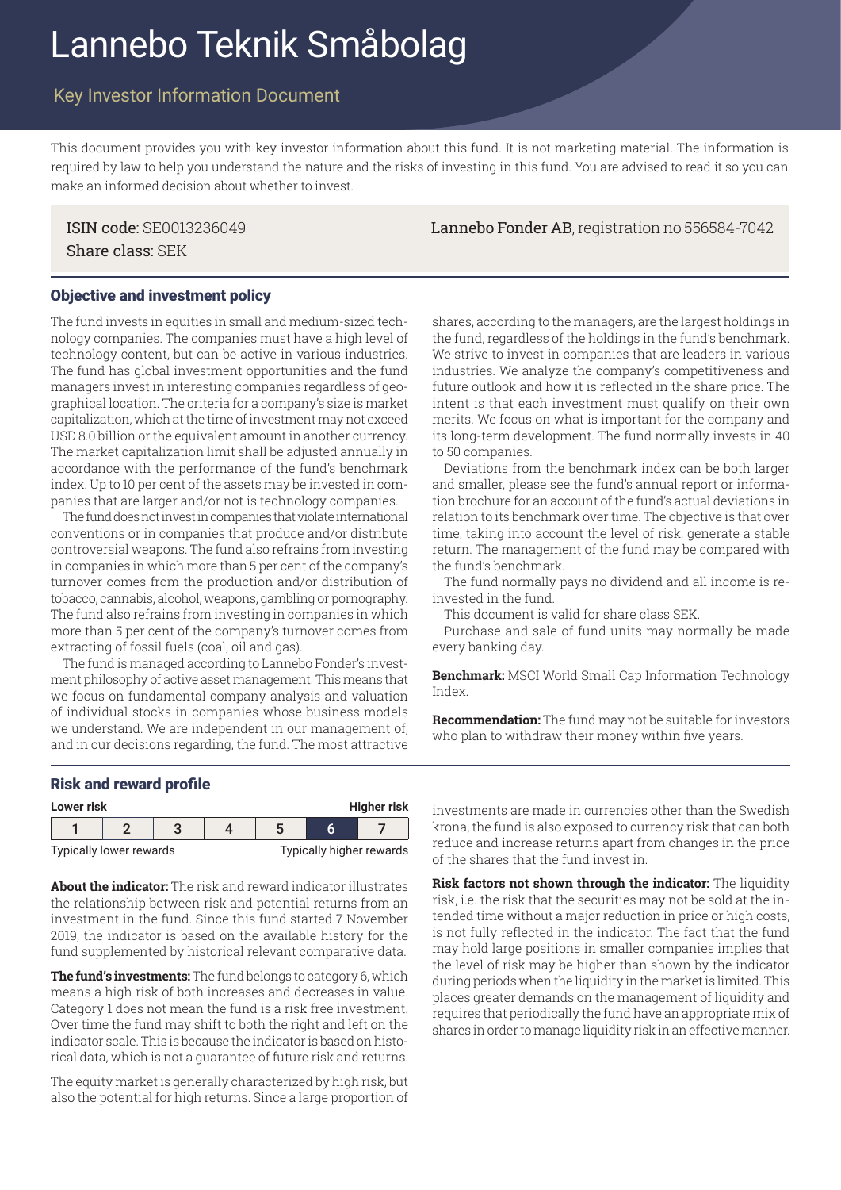# Lannebo Teknik Småbolag

## Key Investor Information Document

This document provides you with key investor information about this fund. It is not marketing material. The information is required by law to help you understand the nature and the risks of investing in this fund. You are advised to read it so you can make an informed decision about whether to invest.

Share class: SEK

#### Objective and investment policy

The fund invests in equities in small and medium-sized technology companies. The companies must have a high level of technology content, but can be active in various industries. The fund has global investment opportunities and the fund managers invest in interesting companies regardless of geographical location. The criteria for a company's size is market capitalization, which at the time of investment may not exceed USD 8.0 billion or the equivalent amount in another currency. The market capitalization limit shall be adjusted annually in accordance with the performance of the fund's benchmark index. Up to 10 per cent of the assets may be invested in companies that are larger and/or not is technology companies.

The fund does not invest in companies that violate international conventions or in companies that produce and/or distribute controversial weapons. The fund also refrains from investing in companies in which more than 5 per cent of the company's turnover comes from the production and/or distribution of tobacco, cannabis, alcohol, weapons, gambling or pornography. The fund also refrains from investing in companies in which more than 5 per cent of the company's turnover comes from extracting of fossil fuels (coal, oil and gas).

The fund is managed according to Lannebo Fonder's investment philosophy of active asset management. This means that we focus on fundamental company analysis and valuation of individual stocks in companies whose business models we understand. We are independent in our management of, and in our decisions regarding, the fund. The most attractive shares, according to the managers, are the largest holdings in the fund, regardless of the holdings in the fund's benchmark. We strive to invest in companies that are leaders in various industries. We analyze the company's competitiveness and future outlook and how it is reflected in the share price. The intent is that each investment must qualify on their own merits. We focus on what is important for the company and its long-term development. The fund normally invests in 40 to 50 companies.

Deviations from the benchmark index can be both larger and smaller, please see the fund's annual report or information brochure for an account of the fund's actual deviations in relation to its benchmark over time. The objective is that over time, taking into account the level of risk, generate a stable return. The management of the fund may be compared with the fund's benchmark.

The fund normally pays no dividend and all income is reinvested in the fund.

This document is valid for share class SEK.

Purchase and sale of fund units may normally be made every banking day.

**Benchmark:** MSCI World Small Cap Information Technology Index.

**Recommendation:** The fund may not be suitable for investors who plan to withdraw their money within five years.

### Risk and reward profile

| <b>Higher risk</b><br>Lower risk |  |  |  |  |  |                          |
|----------------------------------|--|--|--|--|--|--------------------------|
|                                  |  |  |  |  |  |                          |
| Typically lower rewards          |  |  |  |  |  | Typically higher rewards |

**About the indicator:** The risk and reward indicator illustrates the relationship between risk and potential returns from an investment in the fund. Since this fund started 7 November 2019, the indicator is based on the available history for the fund supplemented by historical relevant comparative data.

**The fund's investments:** The fund belongs to category 6, which means a high risk of both increases and decreases in value. Category 1 does not mean the fund is a risk free investment. Over time the fund may shift to both the right and left on the indicator scale. This is because the indicator is based on historical data, which is not a guarantee of future risk and returns.

The equity market is generally characterized by high risk, but also the potential for high returns. Since a large proportion of investments are made in currencies other than the Swedish krona, the fund is also exposed to currency risk that can both reduce and increase returns apart from changes in the price of the shares that the fund invest in.

**Risk factors not shown through the indicator:** The liquidity risk, i.e. the risk that the securities may not be sold at the intended time without a major reduction in price or high costs, is not fully reflected in the indicator. The fact that the fund may hold large positions in smaller companies implies that the level of risk may be higher than shown by the indicator during periods when the liquidity in the market is limited. This places greater demands on the management of liquidity and requires that periodically the fund have an appropriate mix of shares in order to manage liquidity risk in an effective manner.

ISIN code: SE0013236049 Lannebo Fonder AB, registration no 556584-7042